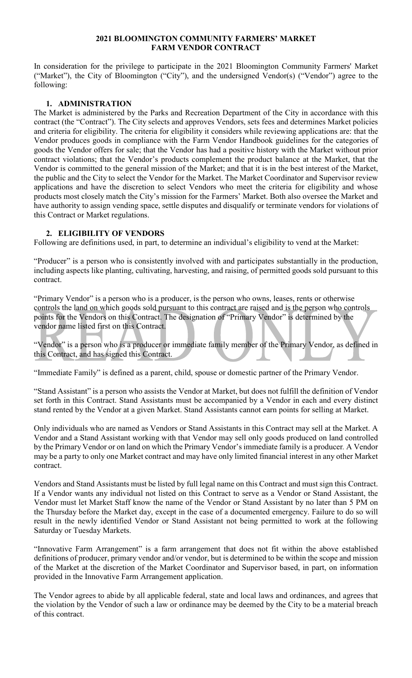#### **2021 BLOOMINGTON COMMUNITY FARMERS' MARKET FARM VENDOR CONTRACT**

In consideration for the privilege to participate in the 2021 Bloomington Community Farmers' Market ("Market"), the City of Bloomington ("City"), and the undersigned Vendor(s) ("Vendor") agree to the following:

# **1. ADMINISTRATION**

The Market is administered by the Parks and Recreation Department of the City in accordance with this contract (the "Contract"). The City selects and approves Vendors, sets fees and determines Market policies and criteria for eligibility. The criteria for eligibility it considers while reviewing applications are: that the Vendor produces goods in compliance with the Farm Vendor Handbook guidelines for the categories of goods the Vendor offers for sale; that the Vendor has had a positive history with the Market without prior contract violations; that the Vendor's products complement the product balance at the Market, that the Vendor is committed to the general mission of the Market; and that it is in the best interest of the Market, the public and the City to select the Vendor for the Market. The Market Coordinator and Supervisor review applications and have the discretion to select Vendors who meet the criteria for eligibility and whose products most closely match the City's mission for the Farmers' Market. Both also oversee the Market and have authority to assign vending space, settle disputes and disqualify or terminate vendors for violations of this Contract or Market regulations.

# **2. ELIGIBILITY OF VENDORS**

Following are definitions used, in part, to determine an individual's eligibility to vend at the Market:

"Producer" is a person who is consistently involved with and participates substantially in the production, including aspects like planting, cultivating, harvesting, and raising, of permitted goods sold pursuant to this contract.

"Primary Vendor" is a person who is a producer, is the person who owns, leases, rents or otherwise controls the land on which goods sold pursuant to this contract are raised and is the person who controls points for the Vendors on this Contract. The designation of "Primary Vendor" is determined by the vendor name listed first on this Contract.

"Vendor" is a person who is a producer or immediate family member of the Primary Vendor, as defined in this Contract, and has signed this Contract.

"Immediate Family" is defined as a parent, child, spouse or domestic partner of the Primary Vendor.

"Stand Assistant" is a person who assists the Vendor at Market, but does not fulfill the definition of Vendor set forth in this Contract. Stand Assistants must be accompanied by a Vendor in each and every distinct stand rented by the Vendor at a given Market. Stand Assistants cannot earn points for selling at Market.

Only individuals who are named as Vendors or Stand Assistants in this Contract may sell at the Market. A Vendor and a Stand Assistant working with that Vendor may sell only goods produced on land controlled by the Primary Vendor or on land on which the Primary Vendor's immediate family is a producer*.* A Vendor may be a party to only one Market contract and may have only limited financial interest in any other Market contract.

Vendors and Stand Assistants must be listed by full legal name on this Contract and must sign this Contract. If a Vendor wants any individual not listed on this Contract to serve as a Vendor or Stand Assistant, the Vendor must let Market Staff know the name of the Vendor or Stand Assistant by no later than 5 PM on the Thursday before the Market day, except in the case of a documented emergency. Failure to do so will result in the newly identified Vendor or Stand Assistant not being permitted to work at the following Saturday or Tuesday Markets.

"Innovative Farm Arrangement" is a farm arrangement that does not fit within the above established definitions of producer, primary vendor and/or vendor, but is determined to be within the scope and mission of the Market at the discretion of the Market Coordinator and Supervisor based, in part, on information provided in the Innovative Farm Arrangement application.

The Vendor agrees to abide by all applicable federal, state and local laws and ordinances, and agrees that the violation by the Vendor of such a law or ordinance may be deemed by the City to be a material breach of this contract.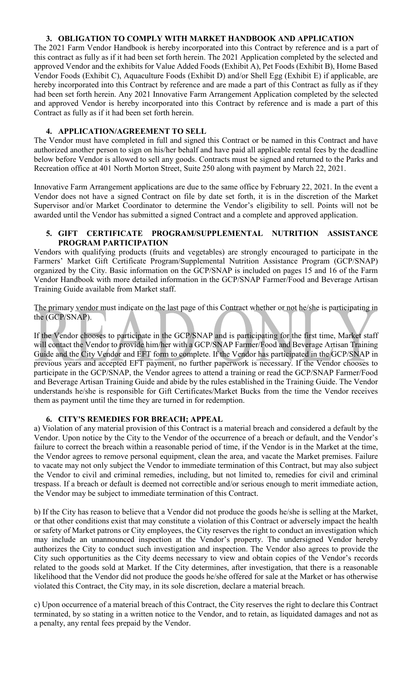## **3. OBLIGATION TO COMPLY WITH MARKET HANDBOOK AND APPLICATION**

The 2021 Farm Vendor Handbook is hereby incorporated into this Contract by reference and is a part of this contract as fully as if it had been set forth herein. The 2021 Application completed by the selected and approved Vendor and the exhibits for Value Added Foods (Exhibit A), Pet Foods (Exhibit B), Home Based Vendor Foods (Exhibit C), Aquaculture Foods (Exhibit D) and/or Shell Egg (Exhibit E) if applicable, are hereby incorporated into this Contract by reference and are made a part of this Contract as fully as if they had been set forth herein. Any 2021 Innovative Farm Arrangement Application completed by the selected and approved Vendor is hereby incorporated into this Contract by reference and is made a part of this Contract as fully as if it had been set forth herein.

## **4. APPLICATION/AGREEMENT TO SELL**

The Vendor must have completed in full and signed this Contract or be named in this Contract and have authorized another person to sign on his/her behalf and have paid all applicable rental fees by the deadline below before Vendor is allowed to sell any goods. Contracts must be signed and returned to the Parks and Recreation office at 401 North Morton Street, Suite 250 along with payment by March 22, 2021.

Innovative Farm Arrangement applications are due to the same office by February 22, 2021. In the event a Vendor does not have a signed Contract on file by date set forth, it is in the discretion of the Market Supervisor and/or Market Coordinator to determine the Vendor's eligibility to sell. Points will not be awarded until the Vendor has submitted a signed Contract and a complete and approved application.

## **5. GIFT CERTIFICATE PROGRAM/SUPPLEMENTAL NUTRITION ASSISTANCE PROGRAM PARTICIPATION**

Vendors with qualifying products (fruits and vegetables) are strongly encouraged to participate in the Farmers' Market Gift Certificate Program/Supplemental Nutrition Assistance Program (GCP/SNAP) organized by the City. Basic information on the GCP/SNAP is included on pages 15 and 16 of the Farm Vendor Handbook with more detailed information in the GCP/SNAP Farmer/Food and Beverage Artisan Training Guide available from Market staff.

The primary vendor must indicate on the last page of this Contract whether or not he/she is participating in the (GCP/SNAP).

If the Vendor chooses to participate in the GCP/SNAP and is participating for the first time, Market staff will contact the Vendor to provide him/her with a GCP/SNAP Farmer/Food and Beverage Artisan Training Guide and the City Vendor and EFT form to complete. If the Vendor has participated in the GCP/SNAP in previous years and accepted EFT payment, no further paperwork is necessary. If the Vendor chooses to participate in the GCP/SNAP, the Vendor agrees to attend a training or read the GCP/SNAP Farmer/Food and Beverage Artisan Training Guide and abide by the rules established in the Training Guide. The Vendor understands he/she is responsible for Gift Certificates/Market Bucks from the time the Vendor receives them as payment until the time they are turned in for redemption.

# **6. CITY'S REMEDIES FOR BREACH; APPEAL**

a) Violation of any material provision of this Contract is a material breach and considered a default by the Vendor. Upon notice by the City to the Vendor of the occurrence of a breach or default, and the Vendor's failure to correct the breach within a reasonable period of time, if the Vendor is in the Market at the time, the Vendor agrees to remove personal equipment, clean the area, and vacate the Market premises. Failure to vacate may not only subject the Vendor to immediate termination of this Contract, but may also subject the Vendor to civil and criminal remedies, including, but not limited to, remedies for civil and criminal trespass. If a breach or default is deemed not correctible and/or serious enough to merit immediate action, the Vendor may be subject to immediate termination of this Contract.

b) If the City has reason to believe that a Vendor did not produce the goods he/she is selling at the Market, or that other conditions exist that may constitute a violation of this Contract or adversely impact the health or safety of Market patrons or City employees, the City reserves the right to conduct an investigation which may include an unannounced inspection at the Vendor's property. The undersigned Vendor hereby authorizes the City to conduct such investigation and inspection. The Vendor also agrees to provide the City such opportunities as the City deems necessary to view and obtain copies of the Vendor's records related to the goods sold at Market. If the City determines, after investigation, that there is a reasonable likelihood that the Vendor did not produce the goods he/she offered for sale at the Market or has otherwise violated this Contract, the City may, in its sole discretion, declare a material breach.

c) Upon occurrence of a material breach of this Contract, the City reserves the right to declare this Contract terminated, by so stating in a written notice to the Vendor, and to retain, as liquidated damages and not as a penalty, any rental fees prepaid by the Vendor.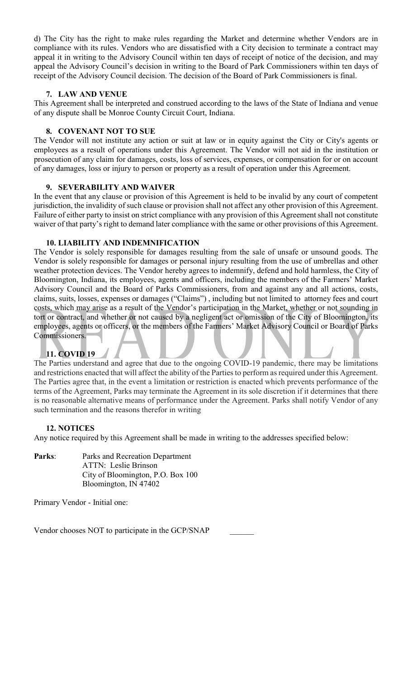d) The City has the right to make rules regarding the Market and determine whether Vendors are in compliance with its rules. Vendors who are dissatisfied with a City decision to terminate a contract may appeal it in writing to the Advisory Council within ten days of receipt of notice of the decision, and may appeal the Advisory Council's decision in writing to the Board of Park Commissioners within ten days of receipt of the Advisory Council decision. The decision of the Board of Park Commissioners is final.

# **7. LAW AND VENUE**

This Agreement shall be interpreted and construed according to the laws of the State of Indiana and venue of any dispute shall be Monroe County Circuit Court, Indiana.

#### **8. COVENANT NOT TO SUE**

The Vendor will not institute any action or suit at law or in equity against the City or City's agents or employees as a result of operations under this Agreement. The Vendor will not aid in the institution or prosecution of any claim for damages, costs, loss of services, expenses, or compensation for or on account of any damages, loss or injury to person or property as a result of operation under this Agreement.

#### **9. SEVERABILITY AND WAIVER**

In the event that any clause or provision of this Agreement is held to be invalid by any court of competent jurisdiction, the invalidity of such clause or provision shall not affect any other provision of this Agreement. Failure of either party to insist on strict compliance with any provision of this Agreement shall not constitute waiver of that party's right to demand later compliance with the same or other provisions of this Agreement.

#### **10. LIABILITY AND INDEMNIFICATION**

The Vendor is solely responsible for damages resulting from the sale of unsafe or unsound goods. The Vendor is solely responsible for damages or personal injury resulting from the use of umbrellas and other weather protection devices. The Vendor hereby agrees to indemnify, defend and hold harmless, the City of Bloomington, Indiana, its employees, agents and officers, including the members of the Farmers' Market Advisory Council and the Board of Parks Commissioners, from and against any and all actions, costs, claims, suits, losses, expenses or damages ("Claims") , including but not limited to attorney fees and court costs, which may arise as a result of the Vendor's participation in the Market, whether or not sounding in tort or contract, and whether or not caused by a negligent act or omission of the City of Bloomington, its employees, agents or officers, or the members of the Farmers' Market Advisory Council or Board of Parks Commissioners.

# **11. COVID 19**

The Parties understand and agree that due to the ongoing COVID-19 pandemic, there may be limitations and restrictions enacted that will affect the ability of the Parties to perform as required under this Agreement. The Parties agree that, in the event a limitation or restriction is enacted which prevents performance of the terms of the Agreement, Parks may terminate the Agreement in its sole discretion if it determines that there is no reasonable alternative means of performance under the Agreement. Parks shall notify Vendor of any such termination and the reasons therefor in writing

# **12. NOTICES**

Any notice required by this Agreement shall be made in writing to the addresses specified below:

**Parks**: Parks and Recreation Department ATTN: Leslie Brinson City of Bloomington, P.O. Box 100 Bloomington, IN 47402

Primary Vendor - Initial one:

Vendor chooses NOT to participate in the GCP/SNAP \_\_\_\_\_\_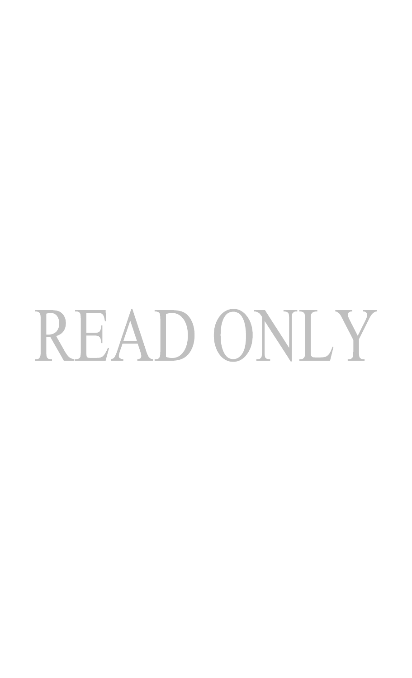# READ ONLY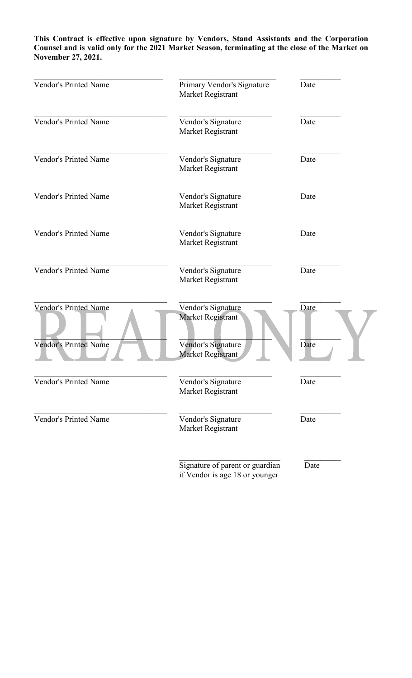**This Contract is effective upon signature by Vendors, Stand Assistants and the Corporation Counsel and is valid only for the 2021 Market Season, terminating at the close of the Market on November 27, 2021.**

| Vendor's Printed Name                                 | Primary Vendor's Signature<br>Market Registrant                   | Date         |
|-------------------------------------------------------|-------------------------------------------------------------------|--------------|
| Vendor's Printed Name                                 | Vendor's Signature<br>Market Registrant                           | Date         |
| <b>Vendor's Printed Name</b>                          | Vendor's Signature<br>Market Registrant                           | Date         |
| Vendor's Printed Name                                 | Vendor's Signature<br>Market Registrant                           | Date         |
| Vendor's Printed Name                                 | Vendor's Signature<br>Market Registrant                           | Date         |
| Vendor's Printed Name                                 | Vendor's Signature<br>Market Registrant                           | Date         |
| Vendor's Printed Name<br><b>Vendor's Printed Name</b> | Vendor's Signature<br>Market Registrant<br>Vendor's Signature     | Date<br>Date |
|                                                       | Market Registrant                                                 |              |
| <b>Vendor's Printed Name</b>                          | Vendor's Signature<br>Market Registrant                           | Date         |
| <b>Vendor's Printed Name</b>                          | Vendor's Signature<br>Market Registrant                           | Date         |
|                                                       | Signature of parent or guardian<br>if Vendor is age 18 or younger | Date         |